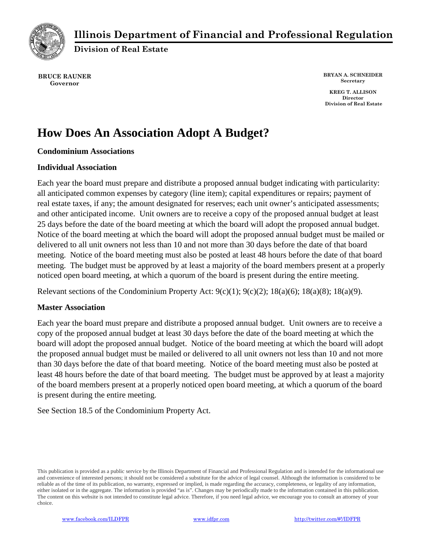

# **Illinois Department of Financial and Professional Regulation**

**Division of Real Estate**

**BRUCE RAUNER Governor**

**BRYAN A. SCHNEIDER Secretary**

**KREG T. ALLISON Director Division of Real Estate**

# **How Does An Association Adopt A Budget?**

## **Condominium Associations**

#### **Individual Association**

Each year the board must prepare and distribute a proposed annual budget indicating with particularity: all anticipated common expenses by category (line item); capital expenditures or repairs; payment of real estate taxes, if any; the amount designated for reserves; each unit owner's anticipated assessments; and other anticipated income. Unit owners are to receive a copy of the proposed annual budget at least 25 days before the date of the board meeting at which the board will adopt the proposed annual budget. Notice of the board meeting at which the board will adopt the proposed annual budget must be mailed or delivered to all unit owners not less than 10 and not more than 30 days before the date of that board meeting. Notice of the board meeting must also be posted at least 48 hours before the date of that board meeting. The budget must be approved by at least a majority of the board members present at a properly noticed open board meeting, at which a quorum of the board is present during the entire meeting.

Relevant sections of the Condominium Property Act:  $9(c)(1)$ ;  $9(c)(2)$ ;  $18(a)(6)$ ;  $18(a)(8)$ ;  $18(a)(9)$ .

## **Master Association**

Each year the board must prepare and distribute a proposed annual budget. Unit owners are to receive a copy of the proposed annual budget at least 30 days before the date of the board meeting at which the board will adopt the proposed annual budget. Notice of the board meeting at which the board will adopt the proposed annual budget must be mailed or delivered to all unit owners not less than 10 and not more than 30 days before the date of that board meeting. Notice of the board meeting must also be posted at least 48 hours before the date of that board meeting. The budget must be approved by at least a majority of the board members present at a properly noticed open board meeting, at which a quorum of the board is present during the entire meeting.

See Section 18.5 of the Condominium Property Act.

This publication is provided as a public service by the Illinois Department of Financial and Professional Regulation and is intended for the informational use and convenience of interested persons; it should not be considered a substitute for the advice of legal counsel. Although the information is considered to be reliable as of the time of its publication, no warranty, expressed or implied, is made regarding the accuracy, completeness, or legality of any information, either isolated or in the aggregate. The information is provided "as is". Changes may be periodically made to the information contained in this publication. The content on this website is not intended to constitute legal advice. Therefore, if you need legal advice, we encourage you to consult an attorney of your choice.